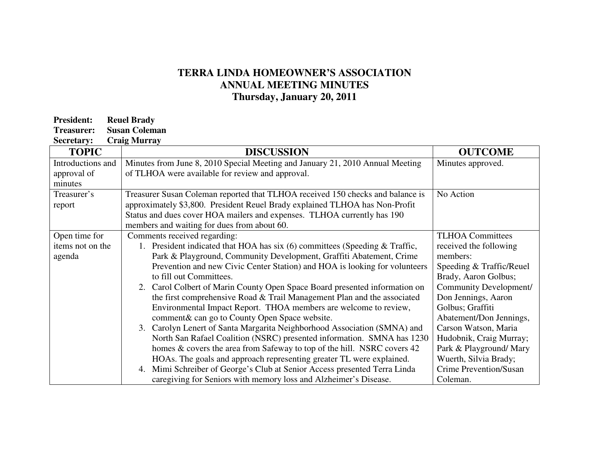## **TERRA LINDA HOMEOWNER'S ASSOCIATION ANNUAL MEETING MINUTES Thursday, January 20, 2011**

| <b>President:</b> | <b>Reuel Brady</b>   |
|-------------------|----------------------|
| <b>Treasurer:</b> | <b>Susan Coleman</b> |

**Secretary: Craig Murray** 

| <b>TOPIC</b>      | <b>DISCUSSION</b>                                                              | <b>OUTCOME</b>           |
|-------------------|--------------------------------------------------------------------------------|--------------------------|
| Introductions and | Minutes from June 8, 2010 Special Meeting and January 21, 2010 Annual Meeting  | Minutes approved.        |
| approval of       | of TLHOA were available for review and approval.                               |                          |
| minutes           |                                                                                |                          |
| Treasurer's       | Treasurer Susan Coleman reported that TLHOA received 150 checks and balance is | No Action                |
| report            | approximately \$3,800. President Reuel Brady explained TLHOA has Non-Profit    |                          |
|                   | Status and dues cover HOA mailers and expenses. TLHOA currently has 190        |                          |
|                   | members and waiting for dues from about 60.                                    |                          |
| Open time for     | Comments received regarding:                                                   | <b>TLHOA Committees</b>  |
| items not on the  | 1. President indicated that HOA has six $(6)$ committees (Speeding & Traffic,  | received the following   |
| agenda            | Park & Playground, Community Development, Graffiti Abatement, Crime            | members:                 |
|                   | Prevention and new Civic Center Station) and HOA is looking for volunteers     | Speeding & Traffic/Reuel |
|                   | to fill out Committees.                                                        | Brady, Aaron Golbus;     |
|                   | Carol Colbert of Marin County Open Space Board presented information on<br>2.  | Community Development/   |
|                   | the first comprehensive Road & Trail Management Plan and the associated        | Don Jennings, Aaron      |
|                   | Environmental Impact Report. THOA members are welcome to review,               | Golbus; Graffiti         |
|                   | comment& can go to County Open Space website.                                  | Abatement/Don Jennings,  |
|                   | 3. Carolyn Lenert of Santa Margarita Neighborhood Association (SMNA) and       | Carson Watson, Maria     |
|                   | North San Rafael Coalition (NSRC) presented information. SMNA has 1230         | Hudobnik, Craig Murray;  |
|                   | homes & covers the area from Safeway to top of the hill. NSRC covers 42        | Park & Playground/ Mary  |
|                   | HOAs. The goals and approach representing greater TL were explained.           | Wuerth, Silvia Brady;    |
|                   | Mimi Schreiber of George's Club at Senior Access presented Terra Linda         | Crime Prevention/Susan   |
|                   | caregiving for Seniors with memory loss and Alzheimer's Disease.               | Coleman.                 |